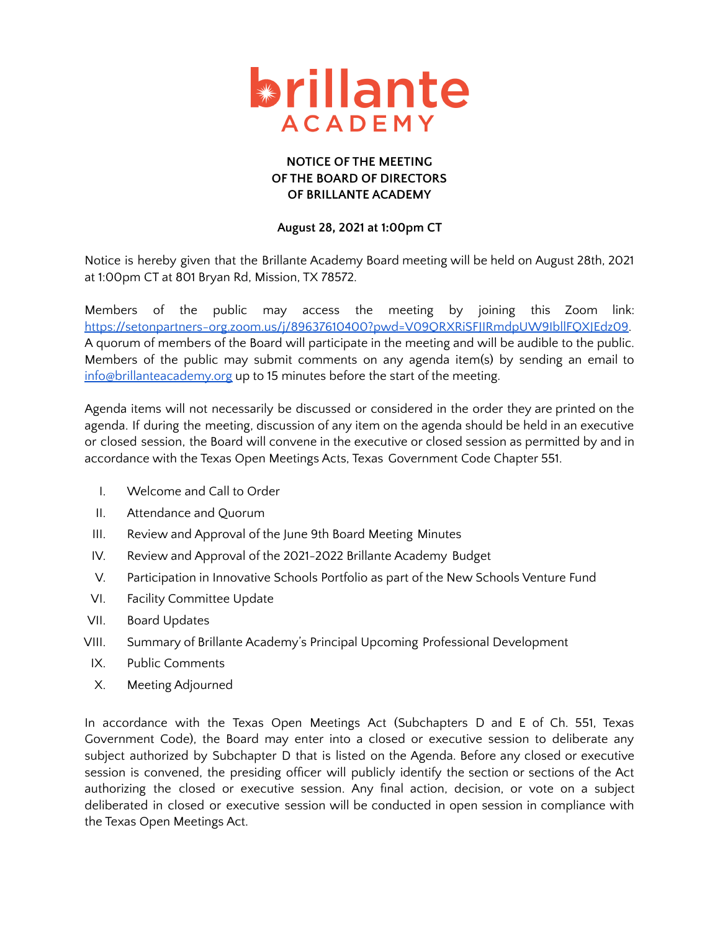

## **NOTICE OF THE MEETING OF THE BOARD OF DIRECTORS OF BRILLANTE ACADEMY**

## **August 28, 2021 at 1:00pm CT**

Notice is hereby given that the Brillante Academy Board meeting will be held on August 28th, 2021 at 1:00pm CT at 801 Bryan Rd, Mission, TX 78572.

Members of the public may access the meeting by joining this Zoom link: [https://setonpartners-org.zoom.us/j/89637610400?pwd=V09QRXRiSFJIRmdpUW9IbllFQXJEdz09.](https://setonpartners-org.zoom.us/j/89637610400?pwd=V09QRXRiSFJIRmdpUW9IbllFQXJEdz09) A quorum of members of the Board will participate in the meeting and will be audible to the public. Members of the public may submit comments on any agenda item(s) by sending an email to [info@brillanteacademy.org](mailto:info@brillante.org) up to 15 minutes before the start of the meeting.

Agenda items will not necessarily be discussed or considered in the order they are printed on the agenda. If during the meeting, discussion of any item on the agenda should be held in an executive or closed session, the Board will convene in the executive or closed session as permitted by and in accordance with the Texas Open Meetings Acts, Texas Government Code Chapter 551.

- I. Welcome and Call to Order
- II. Attendance and Quorum
- III. Review and Approval of the June 9th Board Meeting Minutes
- IV. Review and Approval of the 2021-2022 Brillante Academy Budget
- V. Participation in Innovative Schools Portfolio as part of the New Schools Venture Fund
- VI. Facility Committee Update
- VII. Board Updates
- VIII. Summary of Brillante Academy's Principal Upcoming Professional Development
- IX. Public Comments
- X. Meeting Adjourned

In accordance with the Texas Open Meetings Act (Subchapters D and E of Ch. 551, Texas Government Code), the Board may enter into a closed or executive session to deliberate any subject authorized by Subchapter D that is listed on the Agenda. Before any closed or executive session is convened, the presiding officer will publicly identify the section or sections of the Act authorizing the closed or executive session. Any final action, decision, or vote on a subject deliberated in closed or executive session will be conducted in open session in compliance with the Texas Open Meetings Act.